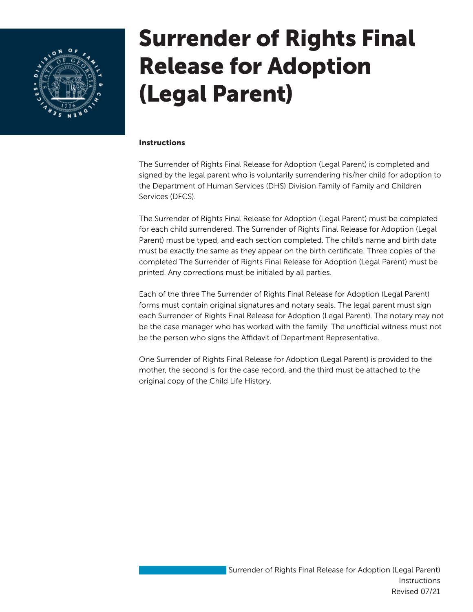

## Surrender of Rights Final Release for Adoption (Legal Parent)

## **Instructions**

The Surrender of Rights Final Release for Adoption (Legal Parent) is completed and signed by the legal parent who is voluntarily surrendering his/her child for adoption to the Department of Human Services (DHS) Division Family of Family and Children Services (DFCS).

The Surrender of Rights Final Release for Adoption (Legal Parent) must be completed for each child surrendered. The Surrender of Rights Final Release for Adoption (Legal Parent) must be typed, and each section completed. The child's name and birth date must be exactly the same as they appear on the birth certificate. Three copies of the completed The Surrender of Rights Final Release for Adoption (Legal Parent) must be printed. Any corrections must be initialed by all parties.

Each of the three The Surrender of Rights Final Release for Adoption (Legal Parent) forms must contain original signatures and notary seals. The legal parent must sign each Surrender of Rights Final Release for Adoption (Legal Parent). The notary may not be the case manager who has worked with the family. The unofficial witness must not be the person who signs the Affidavit of Department Representative.

One Surrender of Rights Final Release for Adoption (Legal Parent) is provided to the mother, the second is for the case record, and the third must be attached to the original copy of the Child Life History.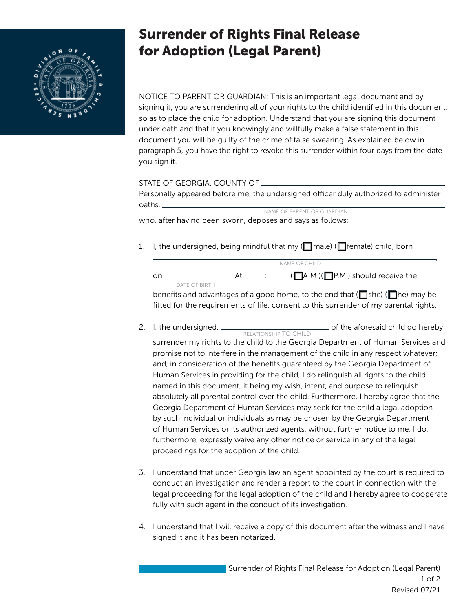

## Surrender of Rights Final Release for Adoption (Legal Parent)

NOTICE TO PARENT OR GUARDIAN: This is an important legal document and by signing it, you are surrendering all of your rights to the child identified in this document, so as to place the child for adoption. Understand that you are signing this document under oath and that if you knowingly and willfully make a false statement in this document you will be guilty of the crime of false swearing. As explained below in paragraph 5, you have the right to revoke this surrender within four days from the date you sign it.

| STATE OF GEORGIA, COUNTY OF ________                                                 |  |  |  |  |  |  |
|--------------------------------------------------------------------------------------|--|--|--|--|--|--|
| Personally appeared before me, the undersigned officer duly authorized to administer |  |  |  |  |  |  |
|                                                                                      |  |  |  |  |  |  |
| NAME OF PARENT OR GUARDIAN                                                           |  |  |  |  |  |  |

who, after having been sworn, deposes and says as follows:

1. I, the undersigned, being mindful that my ( $\Box$ male) ( $\Box$  female) child, born

|    |               | NAME OF CHILD |  |                                             |  |  |
|----|---------------|---------------|--|---------------------------------------------|--|--|
| or |               |               |  | $(\Box A.M.)(\Box P.M.)$ should receive the |  |  |
|    | DATE OF BIRTH |               |  |                                             |  |  |

benefits and advantages of a good home, to the end that ( $\Box$ she) ( $\Box$ he) may be fitted for the requirements of life, consent to this surrender of my parental rights.

,

2. I, the undersigned, <u>consumer controller the aforesaid child do hereby</u> RELATIONSHIP TO CHILD

surrender my rights to the child to the Georgia Department of Human Services and promise not to interfere in the management of the child in any respect whatever; and, in consideration of the benefits guaranteed by the Georgia Department of Human Services in providing for the child, I do relinquish all rights to the child named in this document, it being my wish, intent, and purpose to relinquish absolutely all parental control over the child. Furthermore, I hereby agree that the Georgia Department of Human Services may seek for the child a legal adoption by such individual or individuals as may be chosen by the Georgia Department of Human Services or its authorized agents, without further notice to me. I do, furthermore, expressly waive any other notice or service in any of the legal proceedings for the adoption of the child.

- 3. I understand that under Georgia law an agent appointed by the court is required to conduct an investigation and render a report to the court in connection with the legal proceeding for the legal adoption of the child and I hereby agree to cooperate fully with such agent in the conduct of its investigation.
- 4. I understand that I will receive a copy of this document after the witness and I have signed it and it has been notarized.